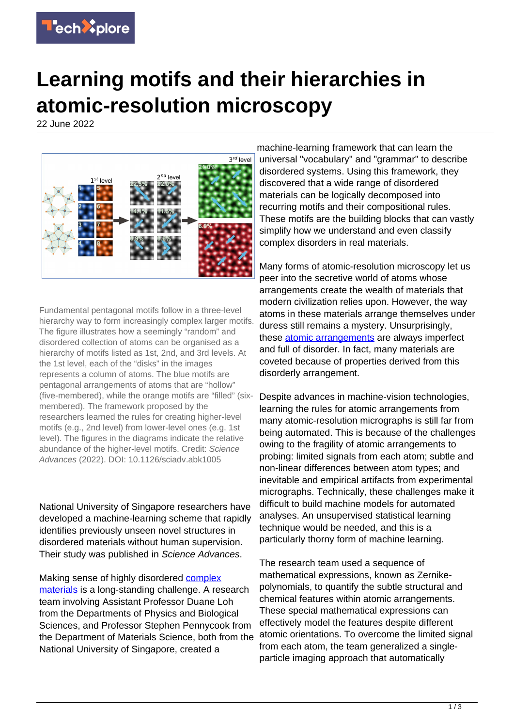

## **Learning motifs and their hierarchies in atomic-resolution microscopy**

22 June 2022



Fundamental pentagonal motifs follow in a three-level hierarchy way to form increasingly complex larger motifs. The figure illustrates how a seemingly "random" and disordered collection of atoms can be organised as a hierarchy of motifs listed as 1st, 2nd, and 3rd levels. At the 1st level, each of the "disks" in the images represents a column of atoms. The blue motifs are pentagonal arrangements of atoms that are "hollow" (five-membered), while the orange motifs are "filled" (sixmembered). The framework proposed by the researchers learned the rules for creating higher-level motifs (e.g., 2nd level) from lower-level ones (e.g. 1st level). The figures in the diagrams indicate the relative abundance of the higher-level motifs. Credit: Science Advances (2022). DOI: 10.1126/sciadv.abk1005

National University of Singapore researchers have developed a machine-learning scheme that rapidly identifies previously unseen novel structures in disordered materials without human supervision. Their study was published in Science Advances.

Making sense of highly disordered [complex](https://techxplore.com/tags/complex+materials/) [materials](https://techxplore.com/tags/complex+materials/) is a long-standing challenge. A research team involving Assistant Professor Duane Loh from the Departments of Physics and Biological Sciences, and Professor Stephen Pennycook from the Department of Materials Science, both from the National University of Singapore, created a

machine-learning framework that can learn the universal "vocabulary" and "grammar" to describe disordered systems. Using this framework, they discovered that a wide range of disordered materials can be logically decomposed into recurring motifs and their compositional rules. These motifs are the building blocks that can vastly simplify how we understand and even classify complex disorders in real materials.

Many forms of atomic-resolution microscopy let us peer into the secretive world of atoms whose arrangements create the wealth of materials that modern civilization relies upon. However, the way atoms in these materials arrange themselves under duress still remains a mystery. Unsurprisingly, these [atomic arrangements](https://techxplore.com/tags/atomic+arrangements/) are always imperfect and full of disorder. In fact, many materials are coveted because of properties derived from this disorderly arrangement.

Despite advances in machine-vision technologies, learning the rules for atomic arrangements from many atomic-resolution micrographs is still far from being automated. This is because of the challenges owing to the fragility of atomic arrangements to probing: limited signals from each atom; subtle and non-linear differences between atom types; and inevitable and empirical artifacts from experimental micrographs. Technically, these challenges make it difficult to build machine models for automated analyses. An unsupervised statistical learning technique would be needed, and this is a particularly thorny form of machine learning.

The research team used a sequence of mathematical expressions, known as Zernikepolynomials, to quantify the subtle structural and chemical features within atomic arrangements. These special mathematical expressions can effectively model the features despite different atomic orientations. To overcome the limited signal from each atom, the team generalized a singleparticle imaging approach that automatically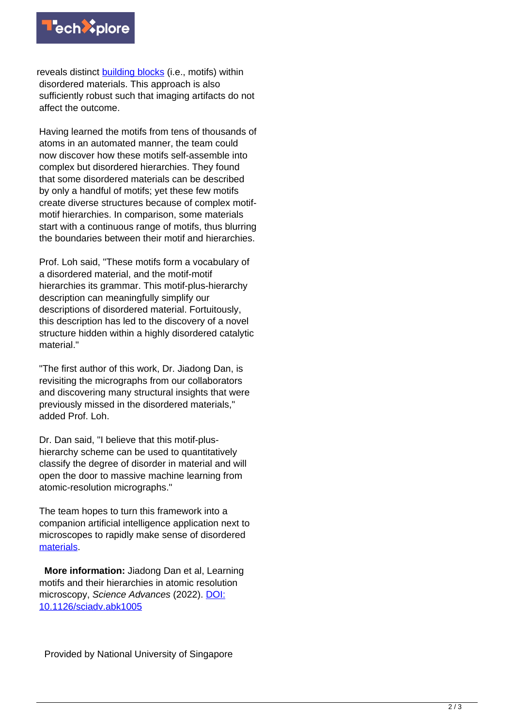

reveals distinct [building blocks](https://techxplore.com/tags/building+blocks/) (i.e., motifs) within disordered materials. This approach is also sufficiently robust such that imaging artifacts do not affect the outcome.

Having learned the motifs from tens of thousands of atoms in an automated manner, the team could now discover how these motifs self-assemble into complex but disordered hierarchies. They found that some disordered materials can be described by only a handful of motifs; yet these few motifs create diverse structures because of complex motifmotif hierarchies. In comparison, some materials start with a continuous range of motifs, thus blurring the boundaries between their motif and hierarchies.

Prof. Loh said, "These motifs form a vocabulary of a disordered material, and the motif-motif hierarchies its grammar. This motif-plus-hierarchy description can meaningfully simplify our descriptions of disordered material. Fortuitously, this description has led to the discovery of a novel structure hidden within a highly disordered catalytic material<sup>"</sup>

"The first author of this work, Dr. Jiadong Dan, is revisiting the micrographs from our collaborators and discovering many structural insights that were previously missed in the disordered materials," added Prof. Loh.

Dr. Dan said, "I believe that this motif-plushierarchy scheme can be used to quantitatively classify the degree of disorder in material and will open the door to massive machine learning from atomic-resolution micrographs."

The team hopes to turn this framework into a companion artificial intelligence application next to microscopes to rapidly make sense of disordered [materials.](https://techxplore.com/tags/materials/)

 **More information:** Jiadong Dan et al, Learning motifs and their hierarchies in atomic resolution microscopy, Science Advances (2022). [DOI:](https://dx.doi.org/10.1126/sciadv.abk1005) [10.1126/sciadv.abk1005](https://dx.doi.org/10.1126/sciadv.abk1005)

Provided by National University of Singapore